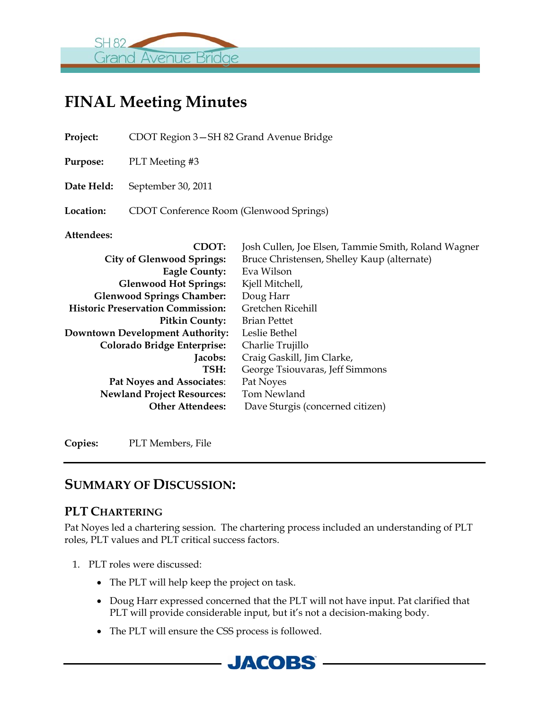

# **FINAL Meeting Minutes**

| Project:                                 | CDOT Region 3–SH 82 Grand Avenue Bridge |                                                     |  |  |  |
|------------------------------------------|-----------------------------------------|-----------------------------------------------------|--|--|--|
| <b>Purpose:</b>                          | PLT Meeting #3                          |                                                     |  |  |  |
| Date Held:                               | September 30, 2011                      |                                                     |  |  |  |
| Location:                                | CDOT Conference Room (Glenwood Springs) |                                                     |  |  |  |
| Attendees:                               |                                         |                                                     |  |  |  |
|                                          | <b>CDOT:</b>                            | Josh Cullen, Joe Elsen, Tammie Smith, Roland Wagner |  |  |  |
| <b>City of Glenwood Springs:</b>         |                                         | Bruce Christensen, Shelley Kaup (alternate)         |  |  |  |
|                                          | <b>Eagle County:</b>                    | Eva Wilson                                          |  |  |  |
| <b>Glenwood Hot Springs:</b>             |                                         | Kjell Mitchell,                                     |  |  |  |
| <b>Glenwood Springs Chamber:</b>         |                                         | Doug Harr                                           |  |  |  |
| <b>Historic Preservation Commission:</b> |                                         | Gretchen Ricehill                                   |  |  |  |
| <b>Pitkin County:</b>                    |                                         | <b>Brian Pettet</b>                                 |  |  |  |
| <b>Downtown Development Authority:</b>   |                                         | Leslie Bethel                                       |  |  |  |
| <b>Colorado Bridge Enterprise:</b>       |                                         | Charlie Trujillo                                    |  |  |  |
| <b>Jacobs:</b>                           |                                         | Craig Gaskill, Jim Clarke,                          |  |  |  |
|                                          | TSH:                                    | George Tsiouvaras, Jeff Simmons                     |  |  |  |
| Pat Noyes and Associates:                |                                         | Pat Noyes                                           |  |  |  |
| <b>Newland Project Resources:</b>        |                                         | Tom Newland                                         |  |  |  |
| <b>Other Attendees:</b>                  |                                         | Dave Sturgis (concerned citizen)                    |  |  |  |

**Copies:** PLT Members, File

# **SUMMARY OF DISCUSSION:**

#### **PLT CHARTERING**

Pat Noyes led a chartering session. The chartering process included an understanding of PLT roles, PLT values and PLT critical success factors.

- 1. PLT roles were discussed:
	- The PLT will help keep the project on task.
	- Doug Harr expressed concerned that the PLT will not have input. Pat clarified that PLT will provide considerable input, but it's not a decision-making body.
	- The PLT will ensure the CSS process is followed.

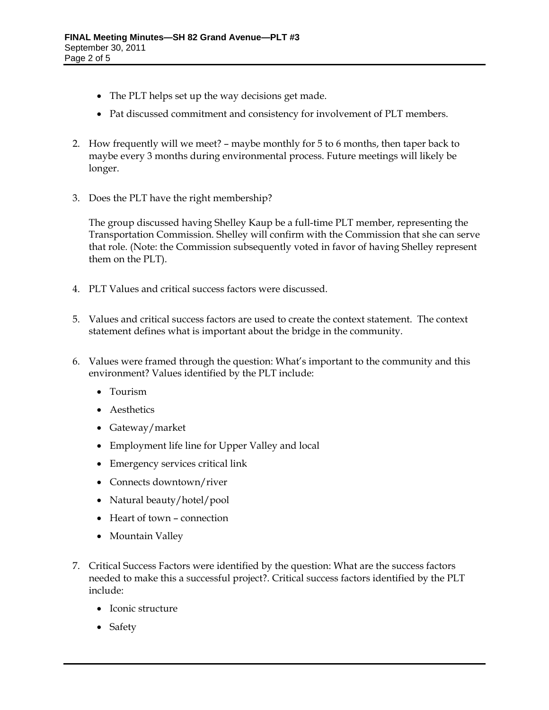- The PLT helps set up the way decisions get made.
- Pat discussed commitment and consistency for involvement of PLT members.
- 2. How frequently will we meet? maybe monthly for 5 to 6 months, then taper back to maybe every 3 months during environmental process. Future meetings will likely be longer.
- 3. Does the PLT have the right membership?

The group discussed having Shelley Kaup be a full-time PLT member, representing the Transportation Commission. Shelley will confirm with the Commission that she can serve that role. (Note: the Commission subsequently voted in favor of having Shelley represent them on the PLT).

- 4. PLT Values and critical success factors were discussed.
- 5. Values and critical success factors are used to create the context statement. The context statement defines what is important about the bridge in the community.
- 6. Values were framed through the question: What's important to the community and this environment? Values identified by the PLT include:
	- Tourism
	- Aesthetics
	- Gateway/market
	- Employment life line for Upper Valley and local
	- Emergency services critical link
	- Connects downtown/river
	- Natural beauty/hotel/pool
	- Heart of town connection
	- Mountain Valley
- 7. Critical Success Factors were identified by the question: What are the success factors needed to make this a successful project?. Critical success factors identified by the PLT include:
	- Iconic structure
	- Safety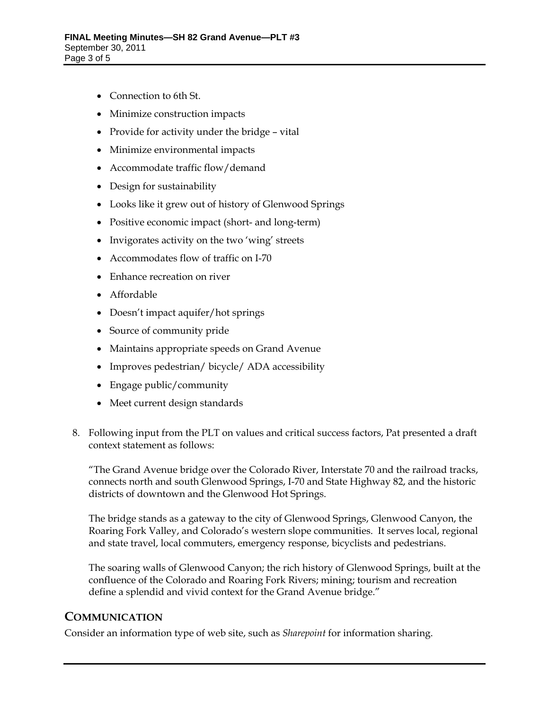- Connection to 6th St.
- Minimize construction impacts
- Provide for activity under the bridge vital
- Minimize environmental impacts
- Accommodate traffic flow/demand
- Design for sustainability
- Looks like it grew out of history of Glenwood Springs
- Positive economic impact (short- and long-term)
- Invigorates activity on the two 'wing' streets
- Accommodates flow of traffic on I-70
- Enhance recreation on river
- Affordable
- Doesn't impact aquifer/hot springs
- Source of community pride
- Maintains appropriate speeds on Grand Avenue
- Improves pedestrian/ bicycle/ ADA accessibility
- Engage public/community
- Meet current design standards
- 8. Following input from the PLT on values and critical success factors, Pat presented a draft context statement as follows:

"The Grand Avenue bridge over the Colorado River, Interstate 70 and the railroad tracks, connects north and south Glenwood Springs, I-70 and State Highway 82, and the historic districts of downtown and the Glenwood Hot Springs.

The bridge stands as a gateway to the city of Glenwood Springs, Glenwood Canyon, the Roaring Fork Valley, and Colorado's western slope communities. It serves local, regional and state travel, local commuters, emergency response, bicyclists and pedestrians.

The soaring walls of Glenwood Canyon; the rich history of Glenwood Springs, built at the confluence of the Colorado and Roaring Fork Rivers; mining; tourism and recreation define a splendid and vivid context for the Grand Avenue bridge."

#### **COMMUNICATION**

Consider an information type of web site, such as *Sharepoint* for information sharing.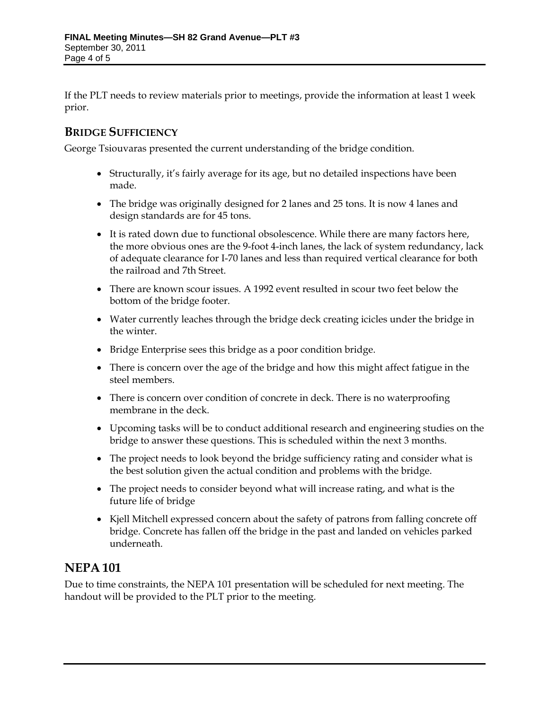If the PLT needs to review materials prior to meetings, provide the information at least 1 week prior.

#### **BRIDGE SUFFICIENCY**

George Tsiouvaras presented the current understanding of the bridge condition.

- Structurally, it's fairly average for its age, but no detailed inspections have been made.
- The bridge was originally designed for 2 lanes and 25 tons. It is now 4 lanes and design standards are for 45 tons.
- It is rated down due to functional obsolescence. While there are many factors here, the more obvious ones are the 9-foot 4-inch lanes, the lack of system redundancy, lack of adequate clearance for I-70 lanes and less than required vertical clearance for both the railroad and 7th Street.
- There are known scour issues. A 1992 event resulted in scour two feet below the bottom of the bridge footer.
- Water currently leaches through the bridge deck creating icicles under the bridge in the winter.
- Bridge Enterprise sees this bridge as a poor condition bridge.
- There is concern over the age of the bridge and how this might affect fatigue in the steel members.
- There is concern over condition of concrete in deck. There is no waterproofing membrane in the deck.
- Upcoming tasks will be to conduct additional research and engineering studies on the bridge to answer these questions. This is scheduled within the next 3 months.
- The project needs to look beyond the bridge sufficiency rating and consider what is the best solution given the actual condition and problems with the bridge.
- The project needs to consider beyond what will increase rating, and what is the future life of bridge
- Kjell Mitchell expressed concern about the safety of patrons from falling concrete off bridge. Concrete has fallen off the bridge in the past and landed on vehicles parked underneath.

# **NEPA 101**

Due to time constraints, the NEPA 101 presentation will be scheduled for next meeting. The handout will be provided to the PLT prior to the meeting.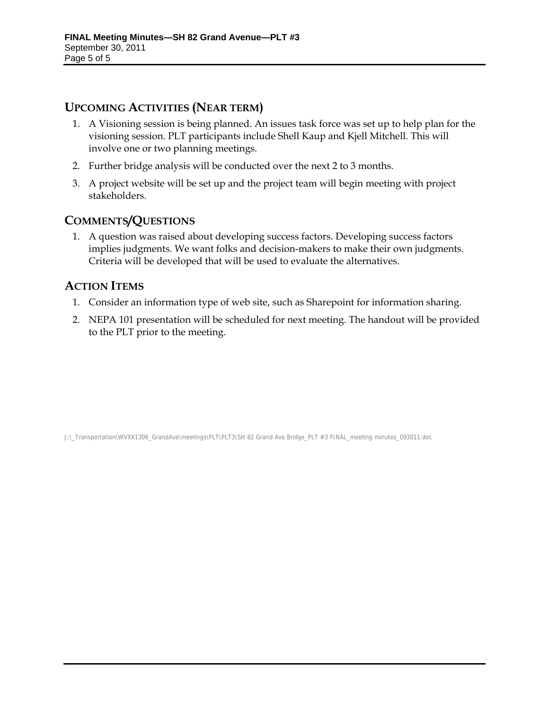## **UPCOMING ACTIVITIES (NEAR TERM)**

- 1. A Visioning session is being planned. An issues task force was set up to help plan for the visioning session. PLT participants include Shell Kaup and Kjell Mitchell. This will involve one or two planning meetings.
- 2. Further bridge analysis will be conducted over the next 2 to 3 months.
- 3. A project website will be set up and the project team will begin meeting with project stakeholders.

## **COMMENTS/QUESTIONS**

1. A question was raised about developing success factors. Developing success factors implies judgments. We want folks and decision-makers to make their own judgments. Criteria will be developed that will be used to evaluate the alternatives.

## **ACTION ITEMS**

- 1. Consider an information type of web site, such as Sharepoint for information sharing.
- 2. NEPA 101 presentation will be scheduled for next meeting. The handout will be provided to the PLT prior to the meeting.

J:\\_Transportation\WVXX1306\_GrandAve\meetings\PLT\PLT3\SH 82 Grand Ave Bridge\_PLT #3 FINAL\_meeting minutes\_093011.doc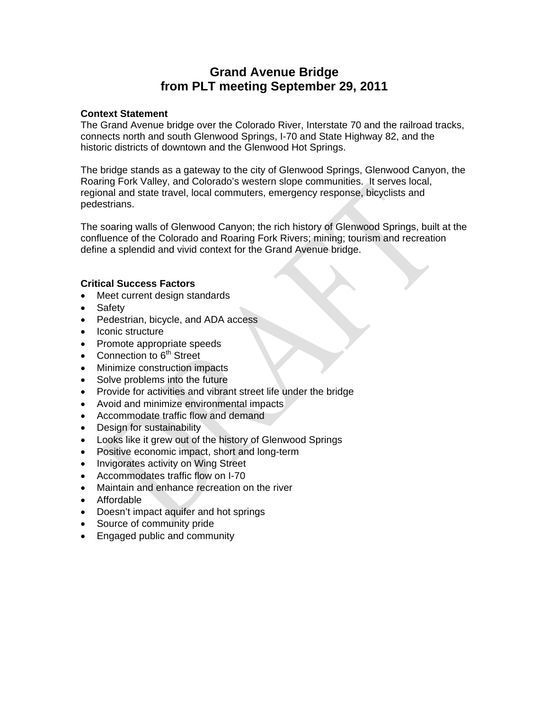# **Grand Avenue Bridge from PLT meeting September 29, 2011**

#### **Context Statement**

The Grand Avenue bridge over the Colorado River, Interstate 70 and the railroad tracks, connects north and south Glenwood Springs, I-70 and State Highway 82, and the historic districts of downtown and the Glenwood Hot Springs.

The bridge stands as a gateway to the city of Glenwood Springs, Glenwood Canyon, the Roaring Fork Valley, and Colorado's western slope communities. It serves local, regional and state travel, local commuters, emergency response, bicyclists and pedestrians.

The soaring walls of Glenwood Canyon; the rich history of Glenwood Springs, built at the confluence of the Colorado and Roaring Fork Rivers; mining; tourism and recreation define a splendid and vivid context for the Grand Avenue bridge.

#### **Critical Success Factors**

- Meet current design standards
- Safety
- Pedestrian, bicycle, and ADA access
- Iconic structure
- Promote appropriate speeds
- Connection to  $6<sup>th</sup>$  Street
- Minimize construction impacts
- Solve problems into the future
- Provide for activities and vibrant street life under the bridge
- Avoid and minimize environmental impacts
- Accommodate traffic flow and demand
- Design for sustainability
- Looks like it grew out of the history of Glenwood Springs
- Positive economic impact, short and long-term
- Invigorates activity on Wing Street
- Accommodates traffic flow on I-70
- Maintain and enhance recreation on the river
- Affordable
- Doesn't impact aquifer and hot springs
- Source of community pride
- Engaged public and community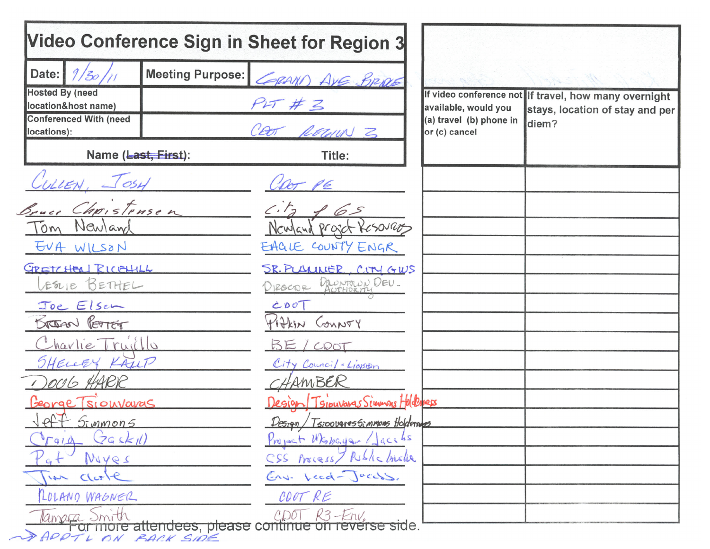|                                               |                         | Video Conference Sign in Sheet for Region 3                              |                                          |                                                       |
|-----------------------------------------------|-------------------------|--------------------------------------------------------------------------|------------------------------------------|-------------------------------------------------------|
| Date: $\frac{9}{50}$ //                       | <b>Meeting Purpose:</b> | CORAND AVE BRIDE                                                         |                                          |                                                       |
| <b>Hosted By (need</b><br>location&host name) |                         | PIT#Z                                                                    | available, would you                     | If video conference not If travel, how many overnight |
| <b>Conferenced With (need</b><br>locations):  |                         | CEOT RECORN 3                                                            | (a) travel (b) phone in<br>or (c) cancel | stays, location of stay and per<br>diem?              |
| Name (Last, First):                           |                         | Title:                                                                   |                                          |                                                       |
| WLLEN, JOSH                                   |                         | CDOT PE                                                                  |                                          |                                                       |
| Bruce Christensen                             |                         | c.f.                                                                     |                                          |                                                       |
| Tom Newland                                   |                         | Newland projet Kesovaos                                                  |                                          |                                                       |
| EVA WILSON                                    |                         | EAGLE COUNTY ENGR                                                        |                                          |                                                       |
| GRETZHEAL RICEHILL                            |                         | SR. PLAULLER, CITY GWS                                                   |                                          |                                                       |
| ESNIE BETHEL                                  |                         | DIROCOR DOWNMUN DEU.                                                     |                                          |                                                       |
| Joe Elsen                                     |                         | CDOT                                                                     |                                          |                                                       |
| BRIGGEN PETTER                                |                         | Pittin County                                                            |                                          |                                                       |
| Charlie Truillo                               |                         | BE/CDOT                                                                  |                                          |                                                       |
| SHELLEY KAUP                                  |                         | City Council - Ligson                                                    |                                          |                                                       |
| DOUG HARR                                     |                         | CHAMBER                                                                  |                                          |                                                       |
| George Tsiouvaras<br>$\sqrt{eff}$ Simmons     |                         | Design Tsiouvares Simmars Holderess<br>Design / Tsipougressimmons Holden |                                          |                                                       |
| GGskil)<br>T914                               |                         | Project Wkshayer Lacebs                                                  |                                          |                                                       |
| Muyes                                         |                         | CSS Process/ Riblic Inclu                                                |                                          |                                                       |
| $Clcr$ $e$                                    |                         | Env. Leed-Jacobs.                                                        |                                          |                                                       |
| LOLANO WAGNER                                 |                         | COOT RE                                                                  |                                          |                                                       |
|                                               |                         | Tamara Smith<br>Tor more attendees, please continue on reverse side.     |                                          |                                                       |
| APPTL ON BACK SIDE                            |                         |                                                                          |                                          |                                                       |